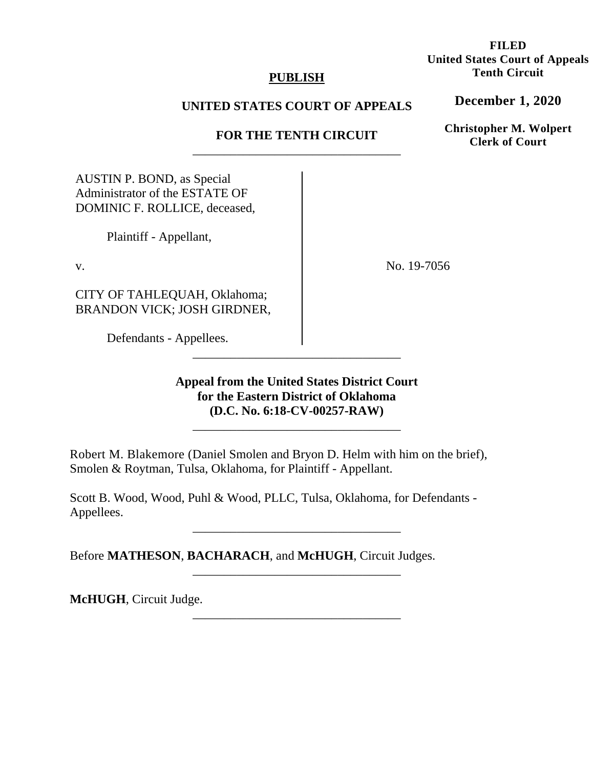## **PUBLISH**

# **UNITED STATES COURT OF APPEALS**

# **FOR THE TENTH CIRCUIT**  \_\_\_\_\_\_\_\_\_\_\_\_\_\_\_\_\_\_\_\_\_\_\_\_\_\_\_\_\_\_\_\_\_

AUSTIN P. BOND, as Special Administrator of the ESTATE OF DOMINIC F. ROLLICE, deceased,

Plaintiff - Appellant,

v.

CITY OF TAHLEQUAH, Oklahoma; BRANDON VICK; JOSH GIRDNER,

Defendants - Appellees.

**Appeal from the United States District Court for the Eastern District of Oklahoma (D.C. No. 6:18-CV-00257-RAW)**

\_\_\_\_\_\_\_\_\_\_\_\_\_\_\_\_\_\_\_\_\_\_\_\_\_\_\_\_\_\_\_\_\_

\_\_\_\_\_\_\_\_\_\_\_\_\_\_\_\_\_\_\_\_\_\_\_\_\_\_\_\_\_\_\_\_\_

\_\_\_\_\_\_\_\_\_\_\_\_\_\_\_\_\_\_\_\_\_\_\_\_\_\_\_\_\_\_\_\_\_

\_\_\_\_\_\_\_\_\_\_\_\_\_\_\_\_\_\_\_\_\_\_\_\_\_\_\_\_\_\_\_\_\_

\_\_\_\_\_\_\_\_\_\_\_\_\_\_\_\_\_\_\_\_\_\_\_\_\_\_\_\_\_\_\_\_\_

Robert M. Blakemore (Daniel Smolen and Bryon D. Helm with him on the brief), Smolen & Roytman, Tulsa, Oklahoma, for Plaintiff - Appellant.

Scott B. Wood, Wood, Puhl & Wood, PLLC, Tulsa, Oklahoma, for Defendants - Appellees.

Before **MATHESON**, **BACHARACH**, and **McHUGH**, Circuit Judges.

**McHUGH**, Circuit Judge.

**FILED United States Court of Appeals Tenth Circuit** 

**December 1, 2020**

**Christopher M. Wolpert Clerk of Court**

No. 19-7056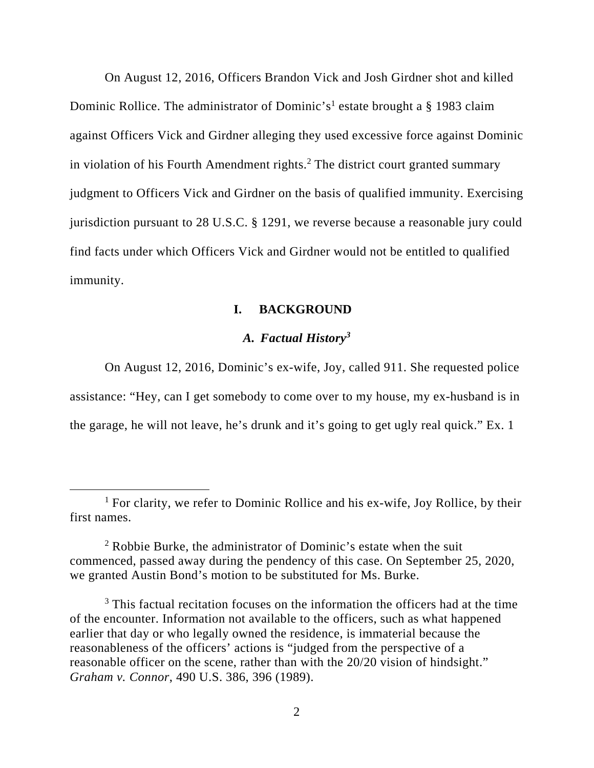On August 12, 2016, Officers Brandon Vick and Josh Girdner shot and killed Dominic Rollice. The administrator of Dominic's<sup>1</sup> estate brought a § 1983 claim against Officers Vick and Girdner alleging they used excessive force against Dominic in violation of his Fourth Amendment rights.<sup>2</sup> The district court granted summary judgment to Officers Vick and Girdner on the basis of qualified immunity. Exercising jurisdiction pursuant to 28 U.S.C. § 1291, we reverse because a reasonable jury could find facts under which Officers Vick and Girdner would not be entitled to qualified immunity.

#### **I. BACKGROUND**

# *A. Factual History<sup>3</sup>*

On August 12, 2016, Dominic's ex-wife, Joy, called 911. She requested police assistance: "Hey, can I get somebody to come over to my house, my ex-husband is in the garage, he will not leave, he's drunk and it's going to get ugly real quick." Ex. 1

<sup>&</sup>lt;sup>1</sup> For clarity, we refer to Dominic Rollice and his ex-wife, Joy Rollice, by their first names.

<sup>&</sup>lt;sup>2</sup> Robbie Burke, the administrator of Dominic's estate when the suit commenced, passed away during the pendency of this case. On September 25, 2020, we granted Austin Bond's motion to be substituted for Ms. Burke.

<sup>&</sup>lt;sup>3</sup> This factual recitation focuses on the information the officers had at the time of the encounter. Information not available to the officers, such as what happened earlier that day or who legally owned the residence, is immaterial because the reasonableness of the officers' actions is "judged from the perspective of a reasonable officer on the scene, rather than with the 20/20 vision of hindsight." *Graham v. Connor*, 490 U.S. 386, 396 (1989).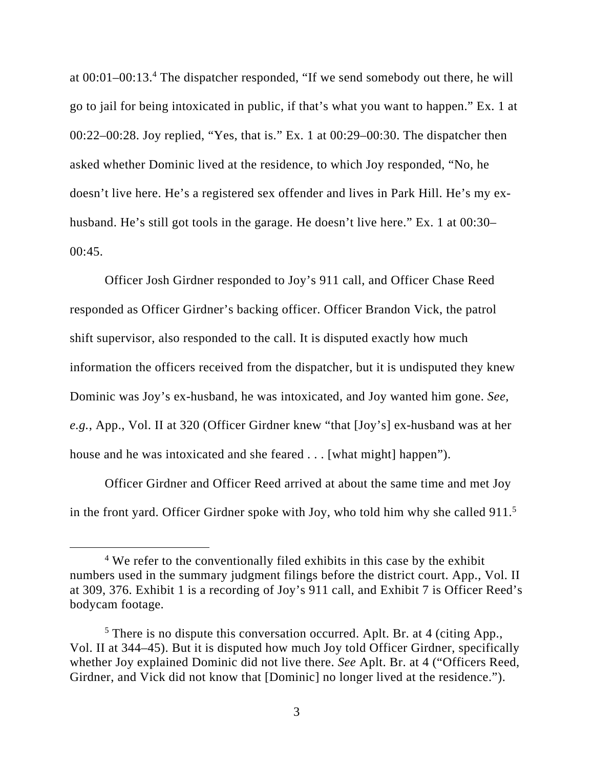at 00:01–00:13.4 The dispatcher responded, "If we send somebody out there, he will go to jail for being intoxicated in public, if that's what you want to happen." Ex. 1 at 00:22–00:28. Joy replied, "Yes, that is." Ex. 1 at 00:29–00:30. The dispatcher then asked whether Dominic lived at the residence, to which Joy responded, "No, he doesn't live here. He's a registered sex offender and lives in Park Hill. He's my exhusband. He's still got tools in the garage. He doesn't live here." Ex. 1 at 00:30–  $00:45.$ 

Officer Josh Girdner responded to Joy's 911 call, and Officer Chase Reed responded as Officer Girdner's backing officer. Officer Brandon Vick, the patrol shift supervisor, also responded to the call. It is disputed exactly how much information the officers received from the dispatcher, but it is undisputed they knew Dominic was Joy's ex-husband, he was intoxicated, and Joy wanted him gone. *See, e.g.*, App., Vol. II at 320 (Officer Girdner knew "that [Joy's] ex-husband was at her house and he was intoxicated and she feared . . . [what might] happen").

Officer Girdner and Officer Reed arrived at about the same time and met Joy in the front yard. Officer Girdner spoke with Joy, who told him why she called  $911<sup>5</sup>$ 

<sup>&</sup>lt;sup>4</sup> We refer to the conventionally filed exhibits in this case by the exhibit numbers used in the summary judgment filings before the district court. App., Vol. II at 309, 376. Exhibit 1 is a recording of Joy's 911 call, and Exhibit 7 is Officer Reed's bodycam footage.

<sup>&</sup>lt;sup>5</sup> There is no dispute this conversation occurred. Aplt. Br. at 4 (citing App., Vol. II at 344–45). But it is disputed how much Joy told Officer Girdner, specifically whether Joy explained Dominic did not live there. *See* Aplt. Br. at 4 ("Officers Reed, Girdner, and Vick did not know that [Dominic] no longer lived at the residence.").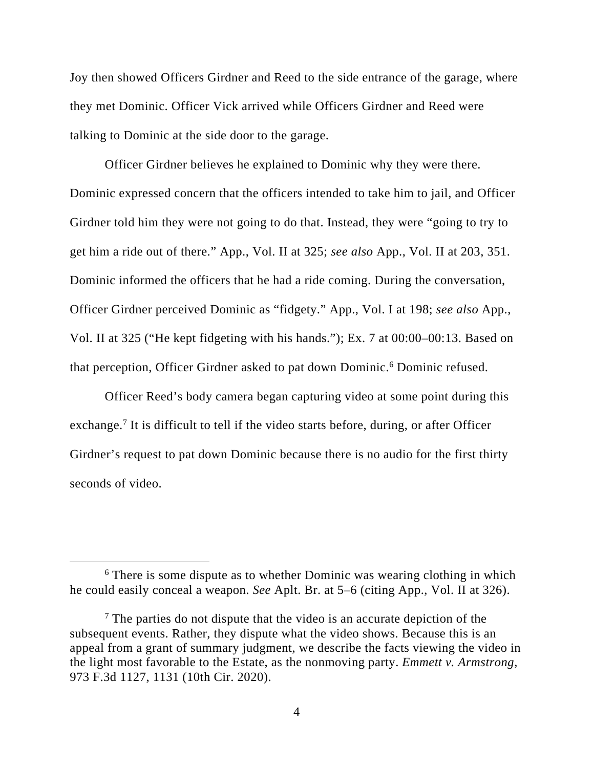Joy then showed Officers Girdner and Reed to the side entrance of the garage, where they met Dominic. Officer Vick arrived while Officers Girdner and Reed were talking to Dominic at the side door to the garage.

Officer Girdner believes he explained to Dominic why they were there. Dominic expressed concern that the officers intended to take him to jail, and Officer Girdner told him they were not going to do that. Instead, they were "going to try to get him a ride out of there." App., Vol. II at 325; *see also* App., Vol. II at 203, 351. Dominic informed the officers that he had a ride coming. During the conversation, Officer Girdner perceived Dominic as "fidgety." App., Vol. I at 198; *see also* App., Vol. II at 325 ("He kept fidgeting with his hands."); Ex. 7 at 00:00–00:13. Based on that perception, Officer Girdner asked to pat down Dominic.<sup>6</sup> Dominic refused.

Officer Reed's body camera began capturing video at some point during this exchange.<sup>7</sup> It is difficult to tell if the video starts before, during, or after Officer Girdner's request to pat down Dominic because there is no audio for the first thirty seconds of video.

<sup>&</sup>lt;sup>6</sup> There is some dispute as to whether Dominic was wearing clothing in which he could easily conceal a weapon. *See* Aplt. Br. at 5–6 (citing App., Vol. II at 326).

<sup>&</sup>lt;sup>7</sup> The parties do not dispute that the video is an accurate depiction of the subsequent events. Rather, they dispute what the video shows. Because this is an appeal from a grant of summary judgment, we describe the facts viewing the video in the light most favorable to the Estate, as the nonmoving party. *Emmett v. Armstrong*, 973 F.3d 1127, 1131 (10th Cir. 2020).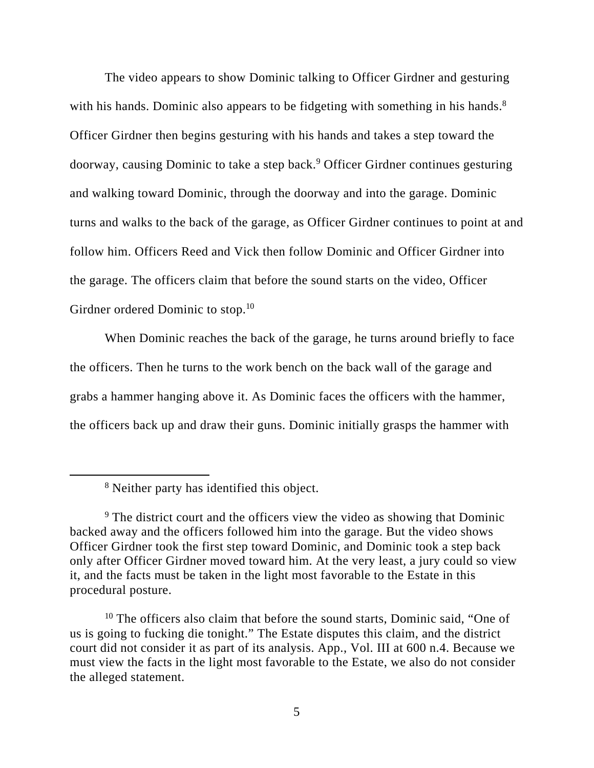The video appears to show Dominic talking to Officer Girdner and gesturing with his hands. Dominic also appears to be fidgeting with something in his hands.<sup>8</sup> Officer Girdner then begins gesturing with his hands and takes a step toward the doorway, causing Dominic to take a step back.<sup>9</sup> Officer Girdner continues gesturing and walking toward Dominic, through the doorway and into the garage. Dominic turns and walks to the back of the garage, as Officer Girdner continues to point at and follow him. Officers Reed and Vick then follow Dominic and Officer Girdner into the garage. The officers claim that before the sound starts on the video, Officer Girdner ordered Dominic to stop.<sup>10</sup>

When Dominic reaches the back of the garage, he turns around briefly to face the officers. Then he turns to the work bench on the back wall of the garage and grabs a hammer hanging above it. As Dominic faces the officers with the hammer, the officers back up and draw their guns. Dominic initially grasps the hammer with

<sup>8</sup> Neither party has identified this object.

<sup>&</sup>lt;sup>9</sup> The district court and the officers view the video as showing that Dominic backed away and the officers followed him into the garage. But the video shows Officer Girdner took the first step toward Dominic, and Dominic took a step back only after Officer Girdner moved toward him. At the very least, a jury could so view it, and the facts must be taken in the light most favorable to the Estate in this procedural posture.

<sup>&</sup>lt;sup>10</sup> The officers also claim that before the sound starts, Dominic said, "One of us is going to fucking die tonight." The Estate disputes this claim, and the district court did not consider it as part of its analysis. App., Vol. III at 600 n.4. Because we must view the facts in the light most favorable to the Estate, we also do not consider the alleged statement.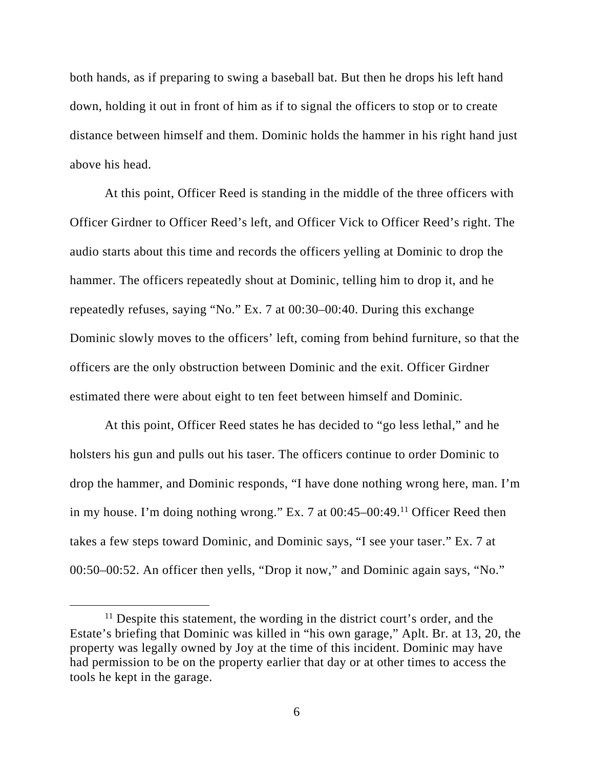both hands, as if preparing to swing a baseball bat. But then he drops his left hand down, holding it out in front of him as if to signal the officers to stop or to create distance between himself and them. Dominic holds the hammer in his right hand just above his head.

At this point, Officer Reed is standing in the middle of the three officers with Officer Girdner to Officer Reed's left, and Officer Vick to Officer Reed's right. The audio starts about this time and records the officers yelling at Dominic to drop the hammer. The officers repeatedly shout at Dominic, telling him to drop it, and he repeatedly refuses, saying "No." Ex. 7 at 00:30–00:40. During this exchange Dominic slowly moves to the officers' left, coming from behind furniture, so that the officers are the only obstruction between Dominic and the exit. Officer Girdner estimated there were about eight to ten feet between himself and Dominic.

At this point, Officer Reed states he has decided to "go less lethal," and he holsters his gun and pulls out his taser. The officers continue to order Dominic to drop the hammer, and Dominic responds, "I have done nothing wrong here, man. I'm in my house. I'm doing nothing wrong." Ex. 7 at  $0.45-0.49$ .<sup>11</sup> Officer Reed then takes a few steps toward Dominic, and Dominic says, "I see your taser." Ex. 7 at 00:50–00:52. An officer then yells, "Drop it now," and Dominic again says, "No."

<sup>&</sup>lt;sup>11</sup> Despite this statement, the wording in the district court's order, and the Estate's briefing that Dominic was killed in "his own garage," Aplt. Br. at 13, 20, the property was legally owned by Joy at the time of this incident. Dominic may have had permission to be on the property earlier that day or at other times to access the tools he kept in the garage.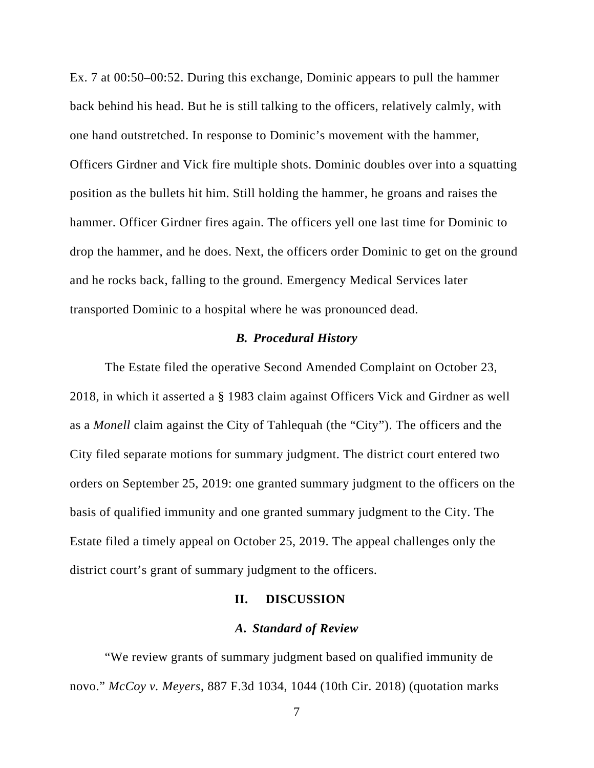Ex. 7 at 00:50–00:52. During this exchange, Dominic appears to pull the hammer back behind his head. But he is still talking to the officers, relatively calmly, with one hand outstretched. In response to Dominic's movement with the hammer, Officers Girdner and Vick fire multiple shots. Dominic doubles over into a squatting position as the bullets hit him. Still holding the hammer, he groans and raises the hammer. Officer Girdner fires again. The officers yell one last time for Dominic to drop the hammer, and he does. Next, the officers order Dominic to get on the ground and he rocks back, falling to the ground. Emergency Medical Services later transported Dominic to a hospital where he was pronounced dead.

### *B. Procedural History*

The Estate filed the operative Second Amended Complaint on October 23, 2018, in which it asserted a § 1983 claim against Officers Vick and Girdner as well as a *Monell* claim against the City of Tahlequah (the "City"). The officers and the City filed separate motions for summary judgment. The district court entered two orders on September 25, 2019: one granted summary judgment to the officers on the basis of qualified immunity and one granted summary judgment to the City. The Estate filed a timely appeal on October 25, 2019. The appeal challenges only the district court's grant of summary judgment to the officers.

#### **II. DISCUSSION**

#### *A. Standard of Review*

"We review grants of summary judgment based on qualified immunity de novo." *McCoy v. Meyers*, 887 F.3d 1034, 1044 (10th Cir. 2018) (quotation marks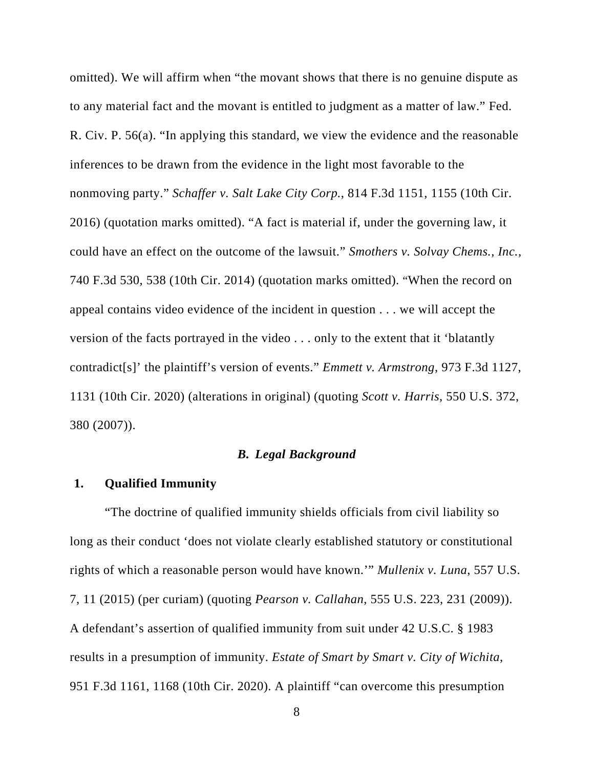omitted). We will affirm when "the movant shows that there is no genuine dispute as to any material fact and the movant is entitled to judgment as a matter of law." Fed. R. Civ. P. 56(a). "In applying this standard, we view the evidence and the reasonable inferences to be drawn from the evidence in the light most favorable to the nonmoving party." *Schaffer v. Salt Lake City Corp.*, 814 F.3d 1151, 1155 (10th Cir. 2016) (quotation marks omitted). "A fact is material if, under the governing law, it could have an effect on the outcome of the lawsuit." *Smothers v. Solvay Chems., Inc.,*  740 F.3d 530, 538 (10th Cir. 2014) (quotation marks omitted). "When the record on appeal contains video evidence of the incident in question . . . we will accept the version of the facts portrayed in the video . . . only to the extent that it 'blatantly contradict[s]' the plaintiff's version of events." *Emmett v. Armstrong*, 973 F.3d 1127, 1131 (10th Cir. 2020) (alterations in original) (quoting *Scott v. Harris*, 550 U.S. 372, 380 (2007)).

#### *B. Legal Background*

#### **1. Qualified Immunity**

"The doctrine of qualified immunity shields officials from civil liability so long as their conduct 'does not violate clearly established statutory or constitutional rights of which a reasonable person would have known.'" *Mullenix v. Luna*, 557 U.S. 7, 11 (2015) (per curiam) (quoting *Pearson v. Callahan*, 555 U.S. 223, 231 (2009)). A defendant's assertion of qualified immunity from suit under 42 U.S.C. § 1983 results in a presumption of immunity. *Estate of Smart by Smart v. City of Wichita*, 951 F.3d 1161, 1168 (10th Cir. 2020). A plaintiff "can overcome this presumption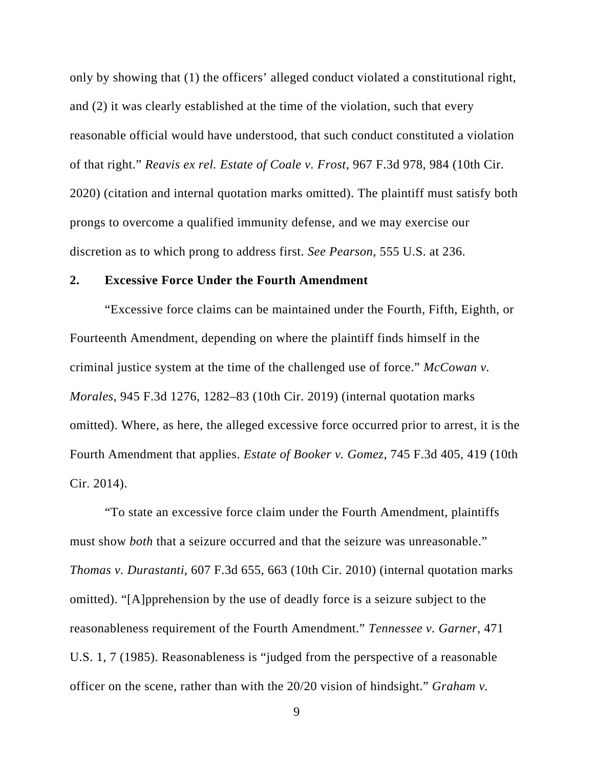only by showing that (1) the officers' alleged conduct violated a constitutional right, and (2) it was clearly established at the time of the violation, such that every reasonable official would have understood, that such conduct constituted a violation of that right." *Reavis ex rel. Estate of Coale v. Frost*, 967 F.3d 978, 984 (10th Cir. 2020) (citation and internal quotation marks omitted). The plaintiff must satisfy both prongs to overcome a qualified immunity defense, and we may exercise our discretion as to which prong to address first. *See Pearson,* 555 U.S. at 236.

#### **2. Excessive Force Under the Fourth Amendment**

"Excessive force claims can be maintained under the Fourth, Fifth, Eighth, or Fourteenth Amendment, depending on where the plaintiff finds himself in the criminal justice system at the time of the challenged use of force." *McCowan v. Morales*, 945 F.3d 1276, 1282–83 (10th Cir. 2019) (internal quotation marks omitted). Where, as here, the alleged excessive force occurred prior to arrest, it is the Fourth Amendment that applies. *Estate of Booker v. Gomez*, 745 F.3d 405, 419 (10th Cir. 2014).

"To state an excessive force claim under the Fourth Amendment, plaintiffs must show *both* that a seizure occurred and that the seizure was unreasonable." *Thomas v. Durastanti*, 607 F.3d 655, 663 (10th Cir. 2010) (internal quotation marks omitted). "[A]pprehension by the use of deadly force is a seizure subject to the reasonableness requirement of the Fourth Amendment." *Tennessee v. Garner*, 471 U.S. 1, 7 (1985). Reasonableness is "judged from the perspective of a reasonable officer on the scene, rather than with the 20/20 vision of hindsight." *Graham v.*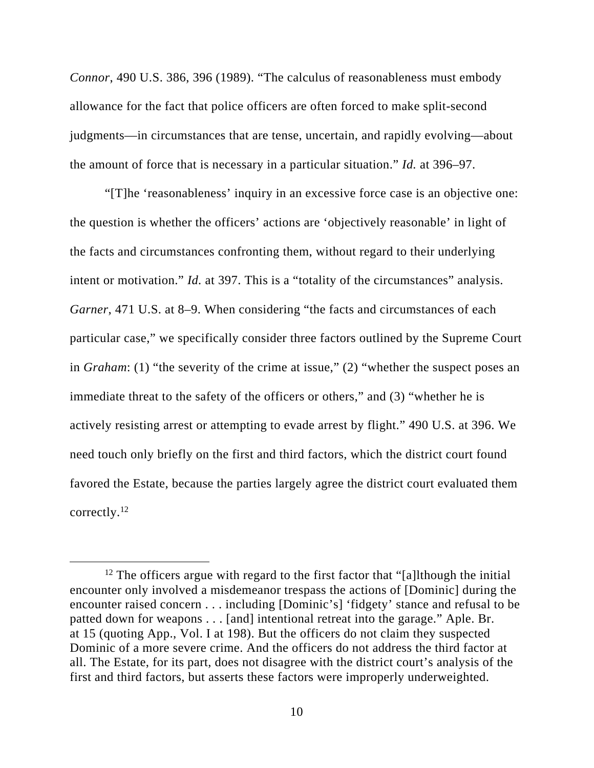*Connor*, 490 U.S. 386, 396 (1989). "The calculus of reasonableness must embody allowance for the fact that police officers are often forced to make split-second judgments—in circumstances that are tense, uncertain, and rapidly evolving—about the amount of force that is necessary in a particular situation." *Id.* at 396–97.

"[T]he 'reasonableness' inquiry in an excessive force case is an objective one: the question is whether the officers' actions are 'objectively reasonable' in light of the facts and circumstances confronting them, without regard to their underlying intent or motivation." *Id.* at 397. This is a "totality of the circumstances" analysis. *Garner*, 471 U.S. at 8–9. When considering "the facts and circumstances of each particular case," we specifically consider three factors outlined by the Supreme Court in *Graham*: (1) "the severity of the crime at issue," (2) "whether the suspect poses an immediate threat to the safety of the officers or others," and (3) "whether he is actively resisting arrest or attempting to evade arrest by flight." 490 U.S. at 396. We need touch only briefly on the first and third factors, which the district court found favored the Estate, because the parties largely agree the district court evaluated them correctly.12

<sup>&</sup>lt;sup>12</sup> The officers argue with regard to the first factor that "[a]lthough the initial encounter only involved a misdemeanor trespass the actions of [Dominic] during the encounter raised concern . . . including [Dominic's] 'fidgety' stance and refusal to be patted down for weapons . . . [and] intentional retreat into the garage." Aple. Br. at 15 (quoting App., Vol. I at 198). But the officers do not claim they suspected Dominic of a more severe crime. And the officers do not address the third factor at all. The Estate, for its part, does not disagree with the district court's analysis of the first and third factors, but asserts these factors were improperly underweighted.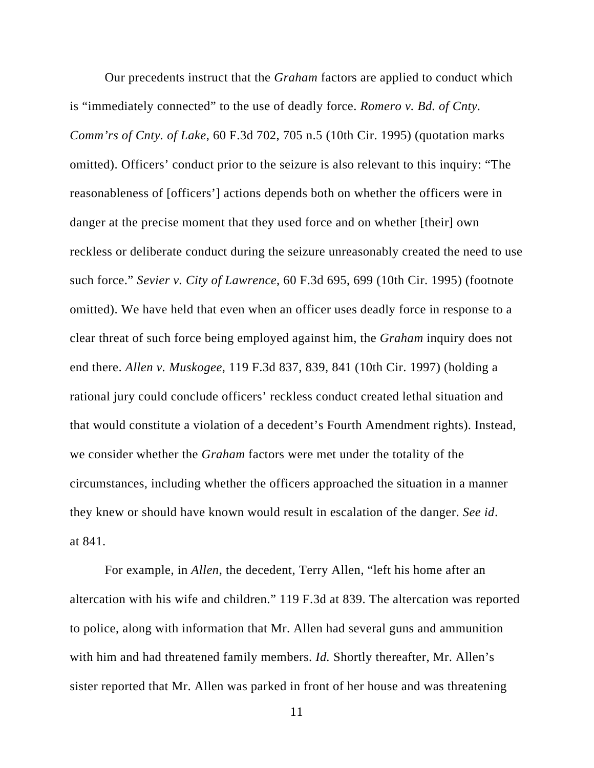Our precedents instruct that the *Graham* factors are applied to conduct which is "immediately connected" to the use of deadly force. *Romero v. Bd. of Cnty. Comm'rs of Cnty. of Lake*, 60 F.3d 702, 705 n.5 (10th Cir. 1995) (quotation marks omitted). Officers' conduct prior to the seizure is also relevant to this inquiry: "The reasonableness of [officers'] actions depends both on whether the officers were in danger at the precise moment that they used force and on whether [their] own reckless or deliberate conduct during the seizure unreasonably created the need to use such force." *Sevier v. City of Lawrence*, 60 F.3d 695, 699 (10th Cir. 1995) (footnote omitted). We have held that even when an officer uses deadly force in response to a clear threat of such force being employed against him, the *Graham* inquiry does not end there. *Allen v. Muskogee*, 119 F.3d 837, 839, 841 (10th Cir. 1997) (holding a rational jury could conclude officers' reckless conduct created lethal situation and that would constitute a violation of a decedent's Fourth Amendment rights). Instead, we consider whether the *Graham* factors were met under the totality of the circumstances, including whether the officers approached the situation in a manner they knew or should have known would result in escalation of the danger. *See id*. at 841.

For example, in *Allen*, the decedent, Terry Allen, "left his home after an altercation with his wife and children." 119 F.3d at 839. The altercation was reported to police, along with information that Mr. Allen had several guns and ammunition with him and had threatened family members. *Id.* Shortly thereafter, Mr. Allen's sister reported that Mr. Allen was parked in front of her house and was threatening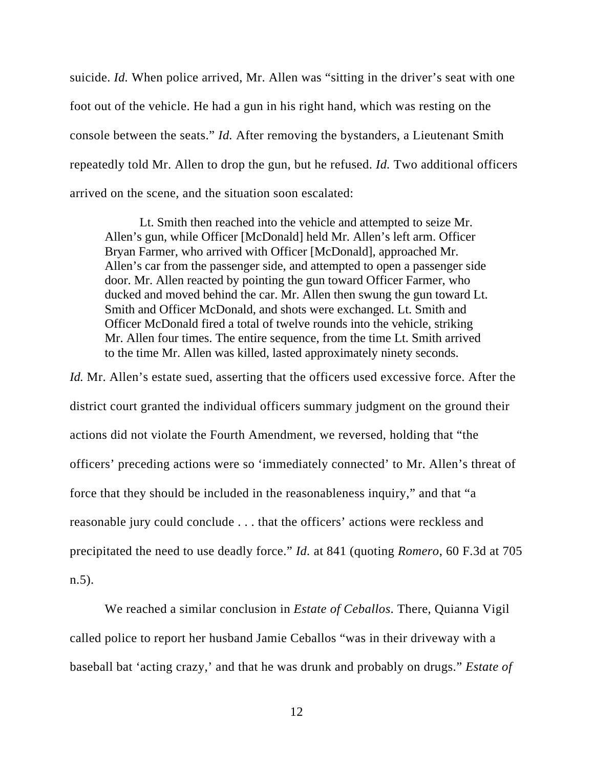suicide. *Id.* When police arrived, Mr. Allen was "sitting in the driver's seat with one foot out of the vehicle. He had a gun in his right hand, which was resting on the console between the seats." *Id.* After removing the bystanders, a Lieutenant Smith repeatedly told Mr. Allen to drop the gun, but he refused. *Id.* Two additional officers arrived on the scene, and the situation soon escalated:

Lt. Smith then reached into the vehicle and attempted to seize Mr. Allen's gun, while Officer [McDonald] held Mr. Allen's left arm. Officer Bryan Farmer, who arrived with Officer [McDonald], approached Mr. Allen's car from the passenger side, and attempted to open a passenger side door. Mr. Allen reacted by pointing the gun toward Officer Farmer, who ducked and moved behind the car. Mr. Allen then swung the gun toward Lt. Smith and Officer McDonald, and shots were exchanged. Lt. Smith and Officer McDonald fired a total of twelve rounds into the vehicle, striking Mr. Allen four times. The entire sequence, from the time Lt. Smith arrived to the time Mr. Allen was killed, lasted approximately ninety seconds.

*Id.* Mr. Allen's estate sued, asserting that the officers used excessive force. After the district court granted the individual officers summary judgment on the ground their actions did not violate the Fourth Amendment, we reversed, holding that "the officers' preceding actions were so 'immediately connected' to Mr. Allen's threat of force that they should be included in the reasonableness inquiry," and that "a reasonable jury could conclude . . . that the officers' actions were reckless and precipitated the need to use deadly force." *Id.* at 841 (quoting *Romero*, 60 F.3d at 705 n.5).

 We reached a similar conclusion in *Estate of Ceballos*. There, Quianna Vigil called police to report her husband Jamie Ceballos "was in their driveway with a baseball bat 'acting crazy,' and that he was drunk and probably on drugs." *Estate of*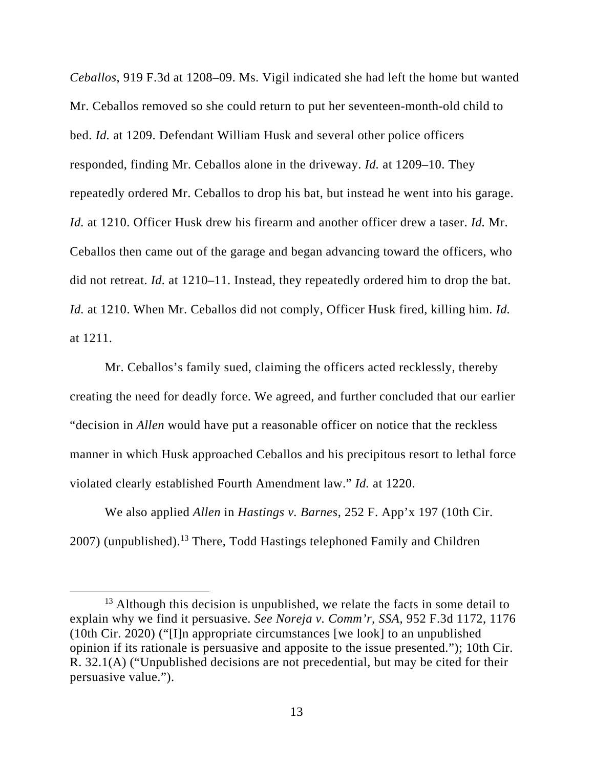*Ceballos*, 919 F.3d at 1208–09. Ms. Vigil indicated she had left the home but wanted Mr. Ceballos removed so she could return to put her seventeen-month-old child to bed. *Id.* at 1209. Defendant William Husk and several other police officers responded, finding Mr. Ceballos alone in the driveway. *Id.* at 1209–10. They repeatedly ordered Mr. Ceballos to drop his bat, but instead he went into his garage. *Id.* at 1210. Officer Husk drew his firearm and another officer drew a taser. *Id.* Mr. Ceballos then came out of the garage and began advancing toward the officers, who did not retreat. *Id.* at 1210–11. Instead, they repeatedly ordered him to drop the bat. *Id.* at 1210. When Mr. Ceballos did not comply, Officer Husk fired, killing him. *Id.*  at 1211.

 Mr. Ceballos's family sued, claiming the officers acted recklessly, thereby creating the need for deadly force. We agreed, and further concluded that our earlier "decision in *Allen* would have put a reasonable officer on notice that the reckless manner in which Husk approached Ceballos and his precipitous resort to lethal force violated clearly established Fourth Amendment law." *Id.* at 1220.

We also applied *Allen* in *Hastings v. Barnes*, 252 F. App'x 197 (10th Cir.  $2007$ ) (unpublished).<sup>13</sup> There, Todd Hastings telephoned Family and Children

<sup>&</sup>lt;sup>13</sup> Although this decision is unpublished, we relate the facts in some detail to explain why we find it persuasive. *See Noreja v. Comm'r, SSA*, 952 F.3d 1172, 1176 (10th Cir. 2020) ("[I]n appropriate circumstances [we look] to an unpublished opinion if its rationale is persuasive and apposite to the issue presented."); 10th Cir. R. 32.1(A) ("Unpublished decisions are not precedential, but may be cited for their persuasive value.").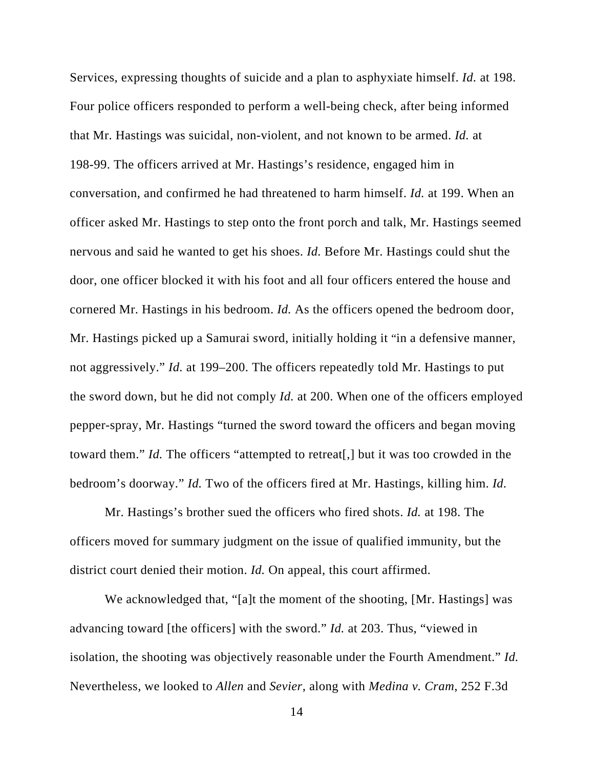Services, expressing thoughts of suicide and a plan to asphyxiate himself. *Id.* at 198. Four police officers responded to perform a well-being check, after being informed that Mr. Hastings was suicidal, non-violent, and not known to be armed. *Id.* at 198-99. The officers arrived at Mr. Hastings's residence, engaged him in conversation, and confirmed he had threatened to harm himself. *Id.* at 199. When an officer asked Mr. Hastings to step onto the front porch and talk, Mr. Hastings seemed nervous and said he wanted to get his shoes. *Id.* Before Mr. Hastings could shut the door, one officer blocked it with his foot and all four officers entered the house and cornered Mr. Hastings in his bedroom. *Id.* As the officers opened the bedroom door, Mr. Hastings picked up a Samurai sword, initially holding it "in a defensive manner, not aggressively." *Id.* at 199–200. The officers repeatedly told Mr. Hastings to put the sword down, but he did not comply *Id.* at 200. When one of the officers employed pepper-spray, Mr. Hastings "turned the sword toward the officers and began moving toward them." *Id.* The officers "attempted to retreat[,] but it was too crowded in the bedroom's doorway." *Id.* Two of the officers fired at Mr. Hastings, killing him. *Id.*

Mr. Hastings's brother sued the officers who fired shots. *Id.* at 198. The officers moved for summary judgment on the issue of qualified immunity, but the district court denied their motion. *Id.* On appeal, this court affirmed.

We acknowledged that, "[a]t the moment of the shooting, [Mr. Hastings] was advancing toward [the officers] with the sword." *Id.* at 203. Thus, "viewed in isolation, the shooting was objectively reasonable under the Fourth Amendment." *Id.* Nevertheless, we looked to *Allen* and *Sevier*, along with *Medina v. Cram*, 252 F.3d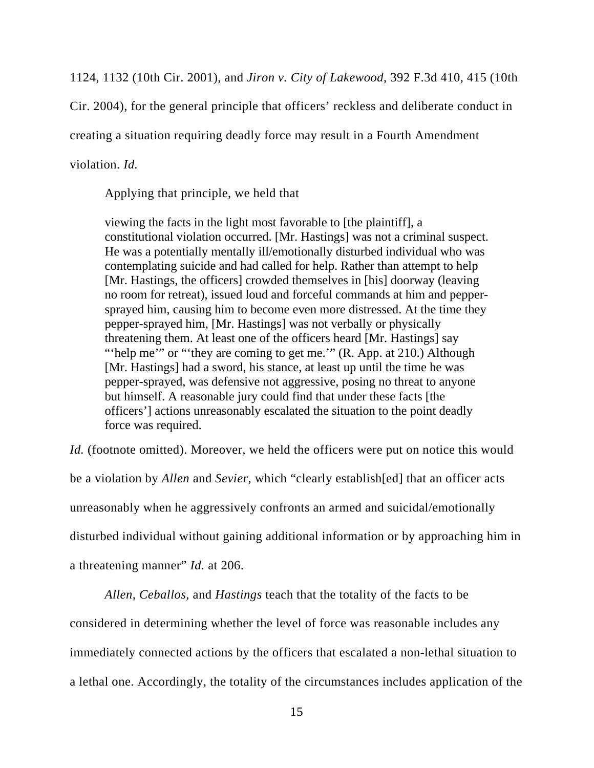1124, 1132 (10th Cir. 2001), and *Jiron v. City of Lakewood*, 392 F.3d 410, 415 (10th

Cir. 2004), for the general principle that officers' reckless and deliberate conduct in

creating a situation requiring deadly force may result in a Fourth Amendment

violation. *Id.*

Applying that principle, we held that

viewing the facts in the light most favorable to [the plaintiff], a constitutional violation occurred. [Mr. Hastings] was not a criminal suspect. He was a potentially mentally ill/emotionally disturbed individual who was contemplating suicide and had called for help. Rather than attempt to help [Mr. Hastings, the officers] crowded themselves in [his] doorway (leaving no room for retreat), issued loud and forceful commands at him and peppersprayed him, causing him to become even more distressed. At the time they pepper-sprayed him, [Mr. Hastings] was not verbally or physically threatening them. At least one of the officers heard [Mr. Hastings] say "'help me'" or "'they are coming to get me.'" (R. App. at 210.) Although [Mr. Hastings] had a sword, his stance, at least up until the time he was pepper-sprayed, was defensive not aggressive, posing no threat to anyone but himself. A reasonable jury could find that under these facts [the officers'] actions unreasonably escalated the situation to the point deadly force was required.

*Id.* (footnote omitted). Moreover, we held the officers were put on notice this would be a violation by *Allen* and *Sevier*, which "clearly establish[ed] that an officer acts unreasonably when he aggressively confronts an armed and suicidal/emotionally disturbed individual without gaining additional information or by approaching him in a threatening manner" *Id.* at 206.

*Allen, Ceballos,* and *Hastings* teach that the totality of the facts to be considered in determining whether the level of force was reasonable includes any immediately connected actions by the officers that escalated a non-lethal situation to a lethal one. Accordingly, the totality of the circumstances includes application of the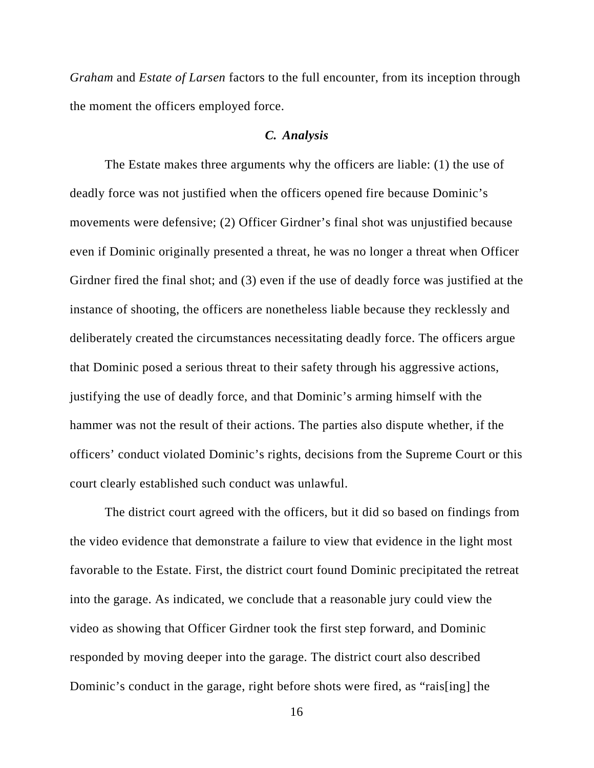*Graham* and *Estate of Larsen* factors to the full encounter, from its inception through the moment the officers employed force.

#### *C. Analysis*

 The Estate makes three arguments why the officers are liable: (1) the use of deadly force was not justified when the officers opened fire because Dominic's movements were defensive; (2) Officer Girdner's final shot was unjustified because even if Dominic originally presented a threat, he was no longer a threat when Officer Girdner fired the final shot; and (3) even if the use of deadly force was justified at the instance of shooting, the officers are nonetheless liable because they recklessly and deliberately created the circumstances necessitating deadly force. The officers argue that Dominic posed a serious threat to their safety through his aggressive actions, justifying the use of deadly force, and that Dominic's arming himself with the hammer was not the result of their actions. The parties also dispute whether, if the officers' conduct violated Dominic's rights, decisions from the Supreme Court or this court clearly established such conduct was unlawful.

 The district court agreed with the officers, but it did so based on findings from the video evidence that demonstrate a failure to view that evidence in the light most favorable to the Estate. First, the district court found Dominic precipitated the retreat into the garage. As indicated, we conclude that a reasonable jury could view the video as showing that Officer Girdner took the first step forward, and Dominic responded by moving deeper into the garage. The district court also described Dominic's conduct in the garage, right before shots were fired, as "rais[ing] the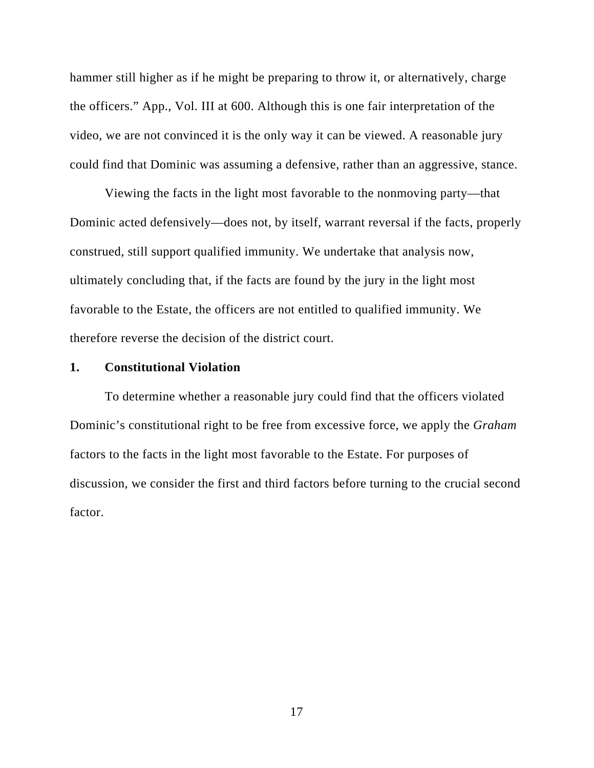hammer still higher as if he might be preparing to throw it, or alternatively, charge the officers." App., Vol. III at 600. Although this is one fair interpretation of the video, we are not convinced it is the only way it can be viewed. A reasonable jury could find that Dominic was assuming a defensive, rather than an aggressive, stance.

Viewing the facts in the light most favorable to the nonmoving party—that Dominic acted defensively—does not, by itself, warrant reversal if the facts, properly construed, still support qualified immunity. We undertake that analysis now, ultimately concluding that, if the facts are found by the jury in the light most favorable to the Estate, the officers are not entitled to qualified immunity. We therefore reverse the decision of the district court.

#### **1. Constitutional Violation**

To determine whether a reasonable jury could find that the officers violated Dominic's constitutional right to be free from excessive force, we apply the *Graham*  factors to the facts in the light most favorable to the Estate. For purposes of discussion, we consider the first and third factors before turning to the crucial second factor.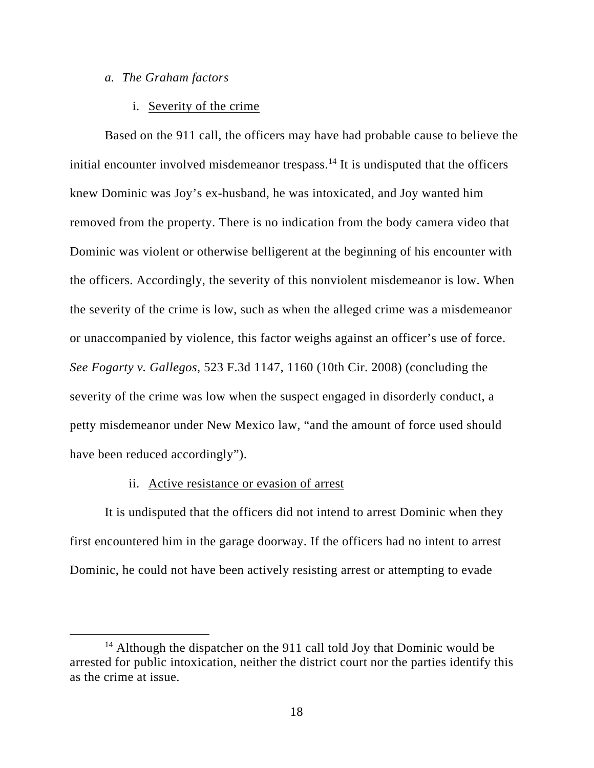#### *a. The Graham factors*

#### i. Severity of the crime

Based on the 911 call, the officers may have had probable cause to believe the initial encounter involved misdemeanor trespass.<sup>14</sup> It is undisputed that the officers knew Dominic was Joy's ex-husband, he was intoxicated, and Joy wanted him removed from the property. There is no indication from the body camera video that Dominic was violent or otherwise belligerent at the beginning of his encounter with the officers. Accordingly, the severity of this nonviolent misdemeanor is low. When the severity of the crime is low, such as when the alleged crime was a misdemeanor or unaccompanied by violence, this factor weighs against an officer's use of force. *See Fogarty v. Gallegos*, 523 F.3d 1147, 1160 (10th Cir. 2008) (concluding the severity of the crime was low when the suspect engaged in disorderly conduct, a petty misdemeanor under New Mexico law, "and the amount of force used should have been reduced accordingly").

#### ii. Active resistance or evasion of arrest

It is undisputed that the officers did not intend to arrest Dominic when they first encountered him in the garage doorway. If the officers had no intent to arrest Dominic, he could not have been actively resisting arrest or attempting to evade

 $14$  Although the dispatcher on the 911 call told Joy that Dominic would be arrested for public intoxication, neither the district court nor the parties identify this as the crime at issue.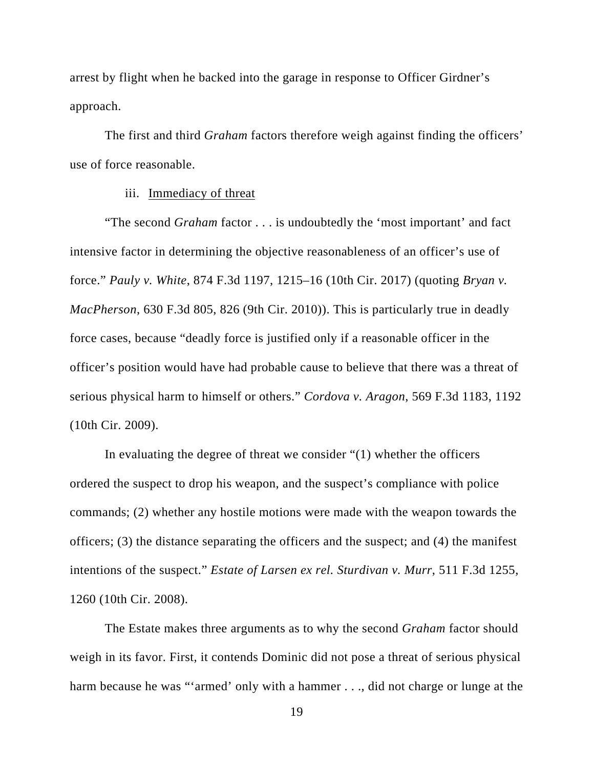arrest by flight when he backed into the garage in response to Officer Girdner's approach.

The first and third *Graham* factors therefore weigh against finding the officers' use of force reasonable.

#### iii. Immediacy of threat

"The second *Graham* factor . . . is undoubtedly the 'most important' and fact intensive factor in determining the objective reasonableness of an officer's use of force." *Pauly v. White*, 874 F.3d 1197, 1215–16 (10th Cir. 2017) (quoting *Bryan v. MacPherson*, 630 F.3d 805, 826 (9th Cir. 2010)). This is particularly true in deadly force cases, because "deadly force is justified only if a reasonable officer in the officer's position would have had probable cause to believe that there was a threat of serious physical harm to himself or others." *Cordova v. Aragon*, 569 F.3d 1183, 1192 (10th Cir. 2009).

In evaluating the degree of threat we consider "(1) whether the officers ordered the suspect to drop his weapon, and the suspect's compliance with police commands; (2) whether any hostile motions were made with the weapon towards the officers; (3) the distance separating the officers and the suspect; and (4) the manifest intentions of the suspect." *Estate of Larsen ex rel. Sturdivan v. Murr*, 511 F.3d 1255, 1260 (10th Cir. 2008).

The Estate makes three arguments as to why the second *Graham* factor should weigh in its favor. First, it contends Dominic did not pose a threat of serious physical harm because he was "'armed' only with a hammer . . ., did not charge or lunge at the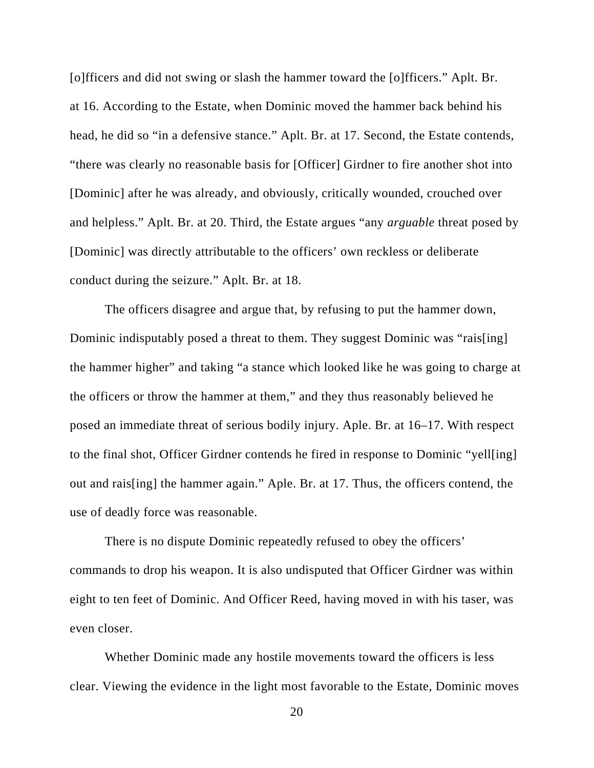[o]fficers and did not swing or slash the hammer toward the [o]fficers." Aplt. Br. at 16. According to the Estate, when Dominic moved the hammer back behind his head, he did so "in a defensive stance." Aplt. Br. at 17. Second, the Estate contends, "there was clearly no reasonable basis for [Officer] Girdner to fire another shot into [Dominic] after he was already, and obviously, critically wounded, crouched over and helpless." Aplt. Br. at 20. Third, the Estate argues "any *arguable* threat posed by [Dominic] was directly attributable to the officers' own reckless or deliberate conduct during the seizure." Aplt. Br. at 18.

The officers disagree and argue that, by refusing to put the hammer down, Dominic indisputably posed a threat to them. They suggest Dominic was "rais[ing] the hammer higher" and taking "a stance which looked like he was going to charge at the officers or throw the hammer at them," and they thus reasonably believed he posed an immediate threat of serious bodily injury. Aple. Br. at 16–17. With respect to the final shot, Officer Girdner contends he fired in response to Dominic "yell[ing] out and rais[ing] the hammer again." Aple. Br. at 17. Thus, the officers contend, the use of deadly force was reasonable.

There is no dispute Dominic repeatedly refused to obey the officers' commands to drop his weapon. It is also undisputed that Officer Girdner was within eight to ten feet of Dominic. And Officer Reed, having moved in with his taser, was even closer.

Whether Dominic made any hostile movements toward the officers is less clear. Viewing the evidence in the light most favorable to the Estate, Dominic moves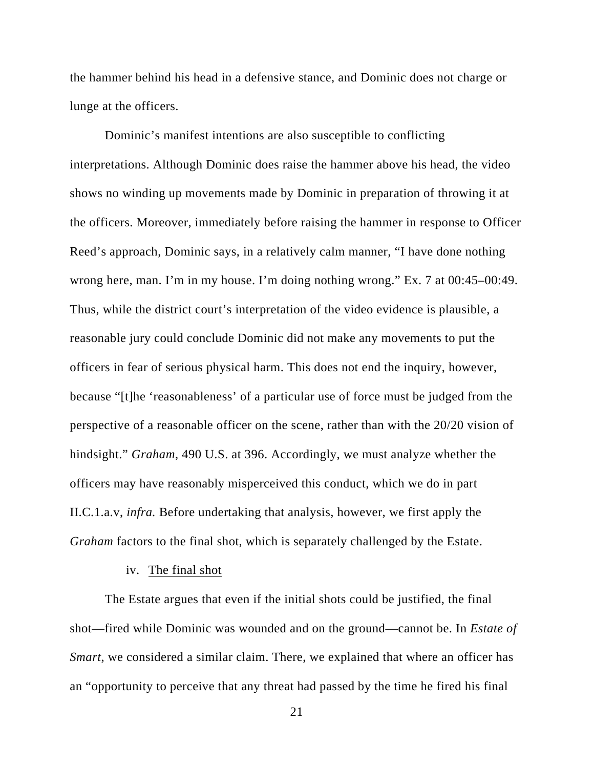the hammer behind his head in a defensive stance, and Dominic does not charge or lunge at the officers.

Dominic's manifest intentions are also susceptible to conflicting interpretations. Although Dominic does raise the hammer above his head, the video shows no winding up movements made by Dominic in preparation of throwing it at the officers. Moreover, immediately before raising the hammer in response to Officer Reed's approach, Dominic says, in a relatively calm manner, "I have done nothing wrong here, man. I'm in my house. I'm doing nothing wrong." Ex. 7 at 00:45–00:49. Thus, while the district court's interpretation of the video evidence is plausible, a reasonable jury could conclude Dominic did not make any movements to put the officers in fear of serious physical harm. This does not end the inquiry, however, because "[t]he 'reasonableness' of a particular use of force must be judged from the perspective of a reasonable officer on the scene, rather than with the 20/20 vision of hindsight." *Graham*, 490 U.S. at 396. Accordingly, we must analyze whether the officers may have reasonably misperceived this conduct, which we do in part II.C.1.a.v, *infra.* Before undertaking that analysis, however, we first apply the *Graham* factors to the final shot, which is separately challenged by the Estate.

#### iv. The final shot

The Estate argues that even if the initial shots could be justified, the final shot—fired while Dominic was wounded and on the ground—cannot be. In *Estate of Smart*, we considered a similar claim. There, we explained that where an officer has an "opportunity to perceive that any threat had passed by the time he fired his final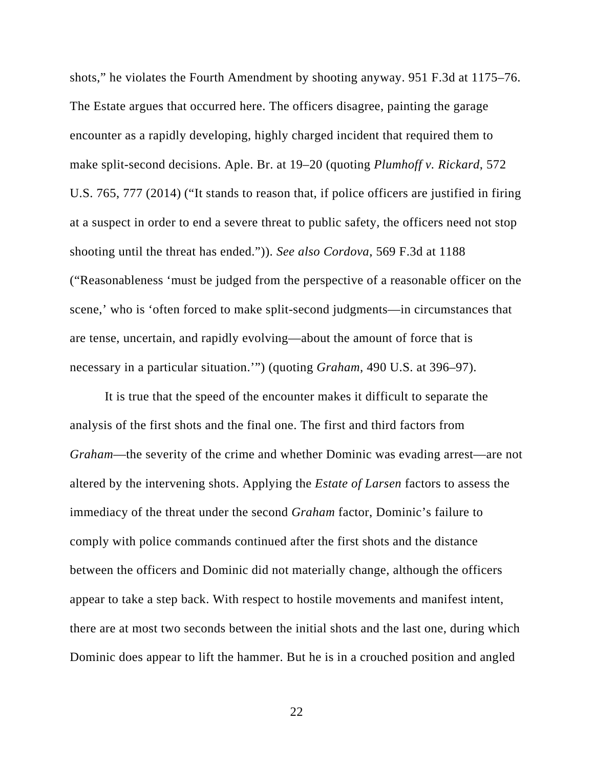shots," he violates the Fourth Amendment by shooting anyway. 951 F.3d at 1175–76. The Estate argues that occurred here. The officers disagree, painting the garage encounter as a rapidly developing, highly charged incident that required them to make split-second decisions. Aple. Br. at 19–20 (quoting *Plumhoff v. Rickard*, 572 U.S. 765, 777 (2014) ("It stands to reason that, if police officers are justified in firing at a suspect in order to end a severe threat to public safety, the officers need not stop shooting until the threat has ended.")). *See also Cordova*, 569 F.3d at 1188 ("Reasonableness 'must be judged from the perspective of a reasonable officer on the scene,' who is 'often forced to make split-second judgments—in circumstances that are tense, uncertain, and rapidly evolving—about the amount of force that is necessary in a particular situation.'") (quoting *Graham*, 490 U.S. at 396–97).

It is true that the speed of the encounter makes it difficult to separate the analysis of the first shots and the final one. The first and third factors from *Graham*—the severity of the crime and whether Dominic was evading arrest—are not altered by the intervening shots. Applying the *Estate of Larsen* factors to assess the immediacy of the threat under the second *Graham* factor, Dominic's failure to comply with police commands continued after the first shots and the distance between the officers and Dominic did not materially change, although the officers appear to take a step back. With respect to hostile movements and manifest intent, there are at most two seconds between the initial shots and the last one, during which Dominic does appear to lift the hammer. But he is in a crouched position and angled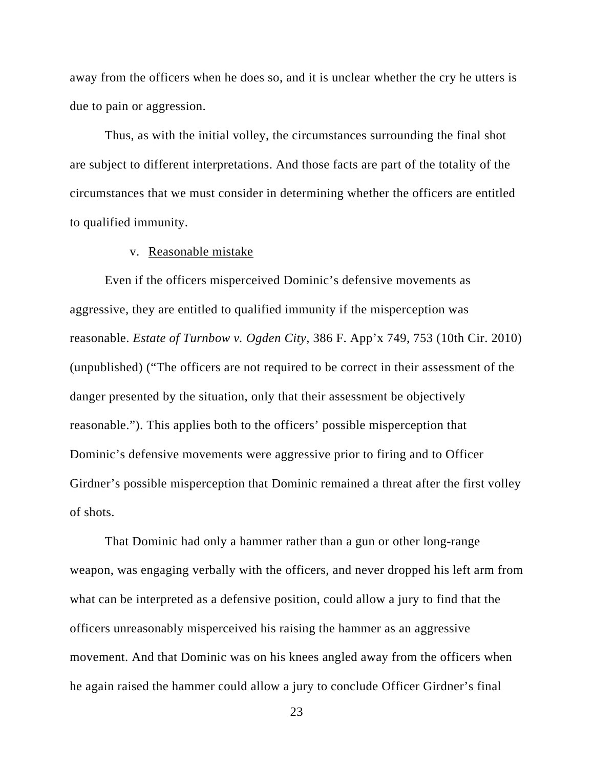away from the officers when he does so, and it is unclear whether the cry he utters is due to pain or aggression.

Thus, as with the initial volley, the circumstances surrounding the final shot are subject to different interpretations. And those facts are part of the totality of the circumstances that we must consider in determining whether the officers are entitled to qualified immunity.

#### v. Reasonable mistake

Even if the officers misperceived Dominic's defensive movements as aggressive, they are entitled to qualified immunity if the misperception was reasonable. *Estate of Turnbow v. Ogden City*, 386 F. App'x 749, 753 (10th Cir. 2010) (unpublished) ("The officers are not required to be correct in their assessment of the danger presented by the situation, only that their assessment be objectively reasonable."). This applies both to the officers' possible misperception that Dominic's defensive movements were aggressive prior to firing and to Officer Girdner's possible misperception that Dominic remained a threat after the first volley of shots.

That Dominic had only a hammer rather than a gun or other long-range weapon, was engaging verbally with the officers, and never dropped his left arm from what can be interpreted as a defensive position, could allow a jury to find that the officers unreasonably misperceived his raising the hammer as an aggressive movement. And that Dominic was on his knees angled away from the officers when he again raised the hammer could allow a jury to conclude Officer Girdner's final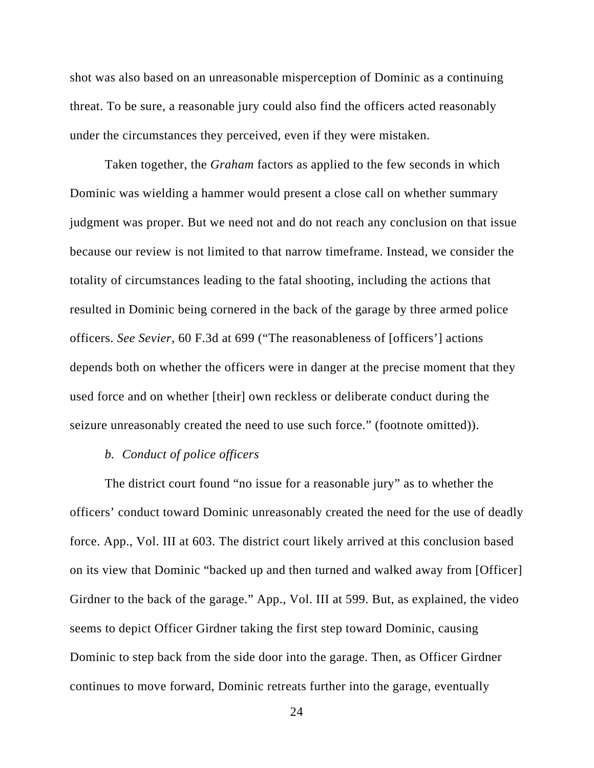shot was also based on an unreasonable misperception of Dominic as a continuing threat. To be sure, a reasonable jury could also find the officers acted reasonably under the circumstances they perceived, even if they were mistaken.

Taken together, the *Graham* factors as applied to the few seconds in which Dominic was wielding a hammer would present a close call on whether summary judgment was proper. But we need not and do not reach any conclusion on that issue because our review is not limited to that narrow timeframe. Instead, we consider the totality of circumstances leading to the fatal shooting, including the actions that resulted in Dominic being cornered in the back of the garage by three armed police officers. *See Sevier*, 60 F.3d at 699 ("The reasonableness of [officers'] actions depends both on whether the officers were in danger at the precise moment that they used force and on whether [their] own reckless or deliberate conduct during the seizure unreasonably created the need to use such force." (footnote omitted)).

#### *b. Conduct of police officers*

The district court found "no issue for a reasonable jury" as to whether the officers' conduct toward Dominic unreasonably created the need for the use of deadly force. App., Vol. III at 603. The district court likely arrived at this conclusion based on its view that Dominic "backed up and then turned and walked away from [Officer] Girdner to the back of the garage." App., Vol. III at 599. But, as explained, the video seems to depict Officer Girdner taking the first step toward Dominic, causing Dominic to step back from the side door into the garage. Then, as Officer Girdner continues to move forward, Dominic retreats further into the garage, eventually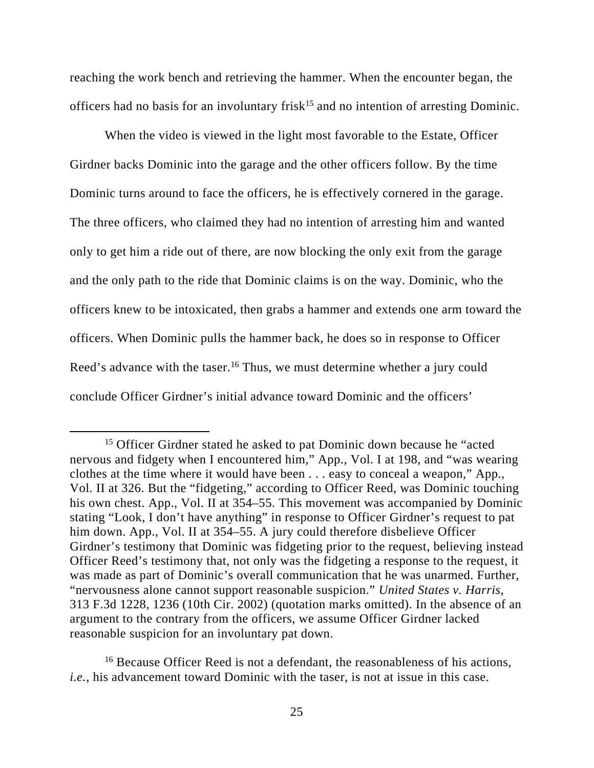reaching the work bench and retrieving the hammer. When the encounter began, the officers had no basis for an involuntary frisk<sup>15</sup> and no intention of arresting Dominic.

When the video is viewed in the light most favorable to the Estate, Officer Girdner backs Dominic into the garage and the other officers follow. By the time Dominic turns around to face the officers, he is effectively cornered in the garage. The three officers, who claimed they had no intention of arresting him and wanted only to get him a ride out of there, are now blocking the only exit from the garage and the only path to the ride that Dominic claims is on the way. Dominic, who the officers knew to be intoxicated, then grabs a hammer and extends one arm toward the officers. When Dominic pulls the hammer back, he does so in response to Officer Reed's advance with the taser.<sup>16</sup> Thus, we must determine whether a jury could conclude Officer Girdner's initial advance toward Dominic and the officers'

<sup>16</sup> Because Officer Reed is not a defendant, the reasonableness of his actions, *i.e.*, his advancement toward Dominic with the taser, is not at issue in this case.

<sup>&</sup>lt;sup>15</sup> Officer Girdner stated he asked to pat Dominic down because he "acted" nervous and fidgety when I encountered him," App., Vol. I at 198, and "was wearing clothes at the time where it would have been . . . easy to conceal a weapon," App., Vol. II at 326. But the "fidgeting," according to Officer Reed, was Dominic touching his own chest. App., Vol. II at 354–55. This movement was accompanied by Dominic stating "Look, I don't have anything" in response to Officer Girdner's request to pat him down. App., Vol. II at 354–55. A jury could therefore disbelieve Officer Girdner's testimony that Dominic was fidgeting prior to the request, believing instead Officer Reed's testimony that, not only was the fidgeting a response to the request, it was made as part of Dominic's overall communication that he was unarmed. Further, "nervousness alone cannot support reasonable suspicion." *United States v. Harris*, 313 F.3d 1228, 1236 (10th Cir. 2002) (quotation marks omitted). In the absence of an argument to the contrary from the officers, we assume Officer Girdner lacked reasonable suspicion for an involuntary pat down.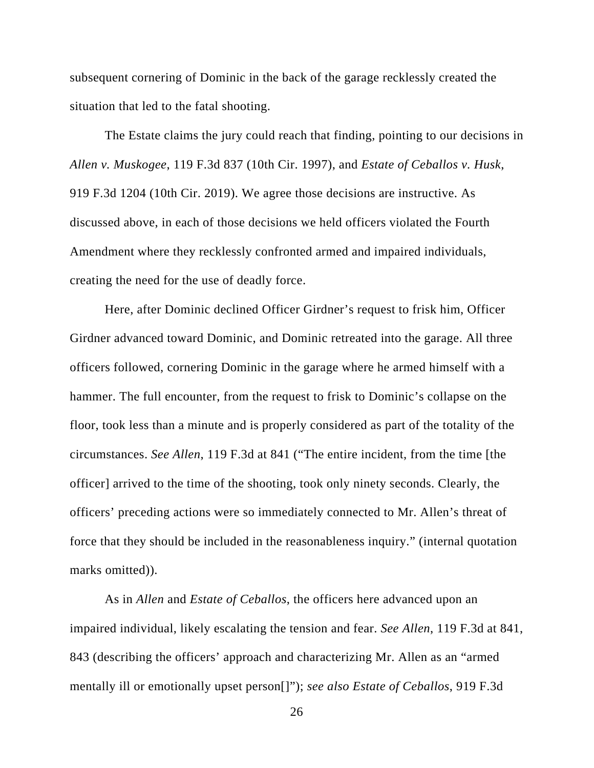subsequent cornering of Dominic in the back of the garage recklessly created the situation that led to the fatal shooting.

The Estate claims the jury could reach that finding, pointing to our decisions in *Allen v. Muskogee*, 119 F.3d 837 (10th Cir. 1997), and *Estate of Ceballos v. Husk*, 919 F.3d 1204 (10th Cir. 2019). We agree those decisions are instructive. As discussed above, in each of those decisions we held officers violated the Fourth Amendment where they recklessly confronted armed and impaired individuals, creating the need for the use of deadly force.

Here, after Dominic declined Officer Girdner's request to frisk him, Officer Girdner advanced toward Dominic, and Dominic retreated into the garage. All three officers followed, cornering Dominic in the garage where he armed himself with a hammer. The full encounter, from the request to frisk to Dominic's collapse on the floor, took less than a minute and is properly considered as part of the totality of the circumstances. *See Allen*, 119 F.3d at 841 ("The entire incident, from the time [the officer] arrived to the time of the shooting, took only ninety seconds. Clearly, the officers' preceding actions were so immediately connected to Mr. Allen's threat of force that they should be included in the reasonableness inquiry." (internal quotation marks omitted)).

As in *Allen* and *Estate of Ceballos*, the officers here advanced upon an impaired individual, likely escalating the tension and fear. *See Allen*, 119 F.3d at 841, 843 (describing the officers' approach and characterizing Mr. Allen as an "armed mentally ill or emotionally upset person[]"); *see also Estate of Ceballos*, 919 F.3d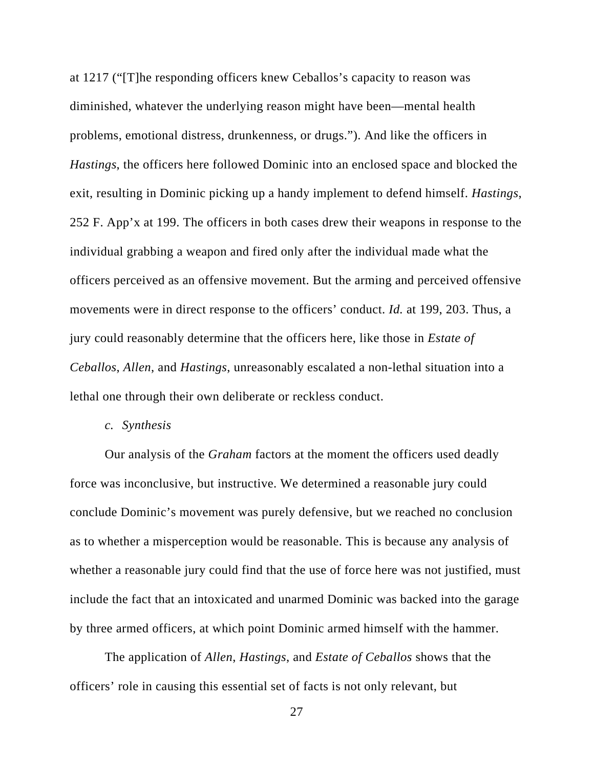at 1217 ("[T]he responding officers knew Ceballos's capacity to reason was diminished, whatever the underlying reason might have been—mental health problems, emotional distress, drunkenness, or drugs."). And like the officers in *Hastings*, the officers here followed Dominic into an enclosed space and blocked the exit, resulting in Dominic picking up a handy implement to defend himself. *Hastings*, 252 F. App'x at 199. The officers in both cases drew their weapons in response to the individual grabbing a weapon and fired only after the individual made what the officers perceived as an offensive movement. But the arming and perceived offensive movements were in direct response to the officers' conduct. *Id.* at 199, 203. Thus, a jury could reasonably determine that the officers here, like those in *Estate of Ceballos*, *Allen*, and *Hastings*, unreasonably escalated a non-lethal situation into a lethal one through their own deliberate or reckless conduct.

#### *c. Synthesis*

Our analysis of the *Graham* factors at the moment the officers used deadly force was inconclusive, but instructive. We determined a reasonable jury could conclude Dominic's movement was purely defensive, but we reached no conclusion as to whether a misperception would be reasonable. This is because any analysis of whether a reasonable jury could find that the use of force here was not justified, must include the fact that an intoxicated and unarmed Dominic was backed into the garage by three armed officers, at which point Dominic armed himself with the hammer.

The application of *Allen*, *Hastings*, and *Estate of Ceballos* shows that the officers' role in causing this essential set of facts is not only relevant, but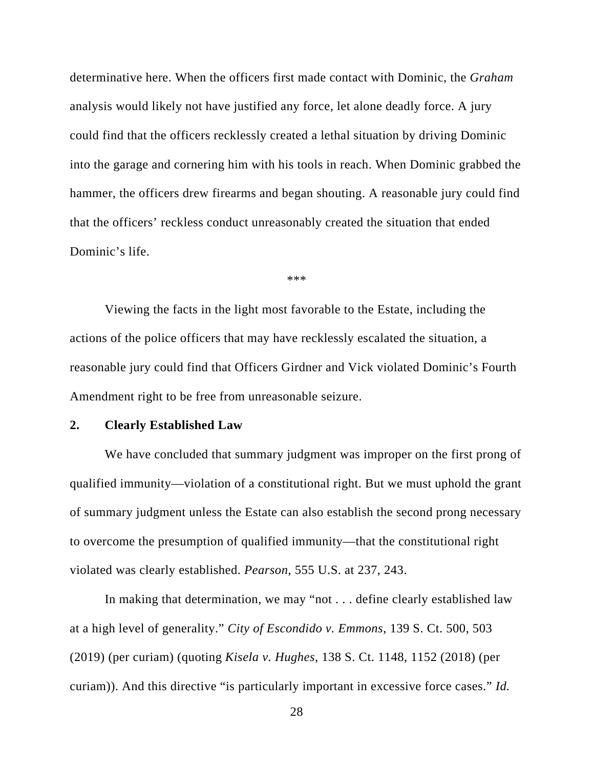determinative here. When the officers first made contact with Dominic, the *Graham* analysis would likely not have justified any force, let alone deadly force. A jury could find that the officers recklessly created a lethal situation by driving Dominic into the garage and cornering him with his tools in reach. When Dominic grabbed the hammer, the officers drew firearms and began shouting. A reasonable jury could find that the officers' reckless conduct unreasonably created the situation that ended Dominic's life.

\*\*\*

Viewing the facts in the light most favorable to the Estate, including the actions of the police officers that may have recklessly escalated the situation, a reasonable jury could find that Officers Girdner and Vick violated Dominic's Fourth Amendment right to be free from unreasonable seizure.

#### **2. Clearly Established Law**

We have concluded that summary judgment was improper on the first prong of qualified immunity—violation of a constitutional right. But we must uphold the grant of summary judgment unless the Estate can also establish the second prong necessary to overcome the presumption of qualified immunity—that the constitutional right violated was clearly established. *Pearson*, 555 U.S. at 237, 243.

In making that determination, we may "not . . . define clearly established law at a high level of generality." *City of Escondido v. Emmons*, 139 S. Ct. 500, 503 (2019) (per curiam) (quoting *Kisela v. Hughes*, 138 S. Ct. 1148, 1152 (2018) (per curiam)). And this directive "is particularly important in excessive force cases." *Id.*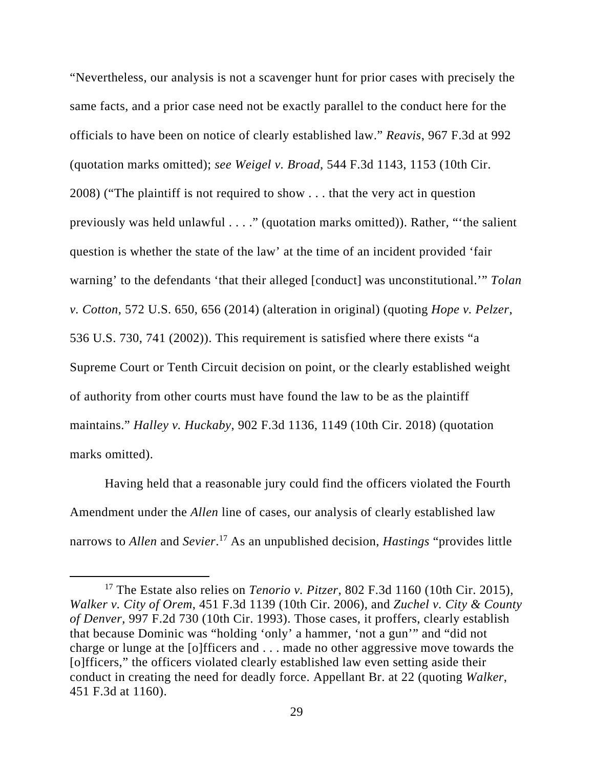"Nevertheless, our analysis is not a scavenger hunt for prior cases with precisely the same facts, and a prior case need not be exactly parallel to the conduct here for the officials to have been on notice of clearly established law." *Reavis*, 967 F.3d at 992 (quotation marks omitted); *see Weigel v. Broad*, 544 F.3d 1143, 1153 (10th Cir. 2008) ("The plaintiff is not required to show . . . that the very act in question previously was held unlawful . . . ." (quotation marks omitted)). Rather, "'the salient question is whether the state of the law' at the time of an incident provided 'fair warning' to the defendants 'that their alleged [conduct] was unconstitutional.'" *Tolan v. Cotton*, 572 U.S. 650, 656 (2014) (alteration in original) (quoting *Hope v. Pelzer*, 536 U.S. 730, 741 (2002)). This requirement is satisfied where there exists "a Supreme Court or Tenth Circuit decision on point, or the clearly established weight of authority from other courts must have found the law to be as the plaintiff maintains." *Halley v. Huckaby*, 902 F.3d 1136, 1149 (10th Cir. 2018) (quotation marks omitted).

Having held that a reasonable jury could find the officers violated the Fourth Amendment under the *Allen* line of cases, our analysis of clearly established law narrows to *Allen* and *Sevier*. 17 As an unpublished decision, *Hastings* "provides little

<sup>17</sup> The Estate also relies on *Tenorio v. Pitzer*, 802 F.3d 1160 (10th Cir. 2015), *Walker v. City of Orem*, 451 F.3d 1139 (10th Cir. 2006), and *Zuchel v. City & County of Denver*, 997 F.2d 730 (10th Cir. 1993). Those cases, it proffers, clearly establish that because Dominic was "holding 'only' a hammer, 'not a gun'" and "did not charge or lunge at the [o]fficers and . . . made no other aggressive move towards the [o]fficers," the officers violated clearly established law even setting aside their conduct in creating the need for deadly force. Appellant Br. at 22 (quoting *Walker*, 451 F.3d at 1160).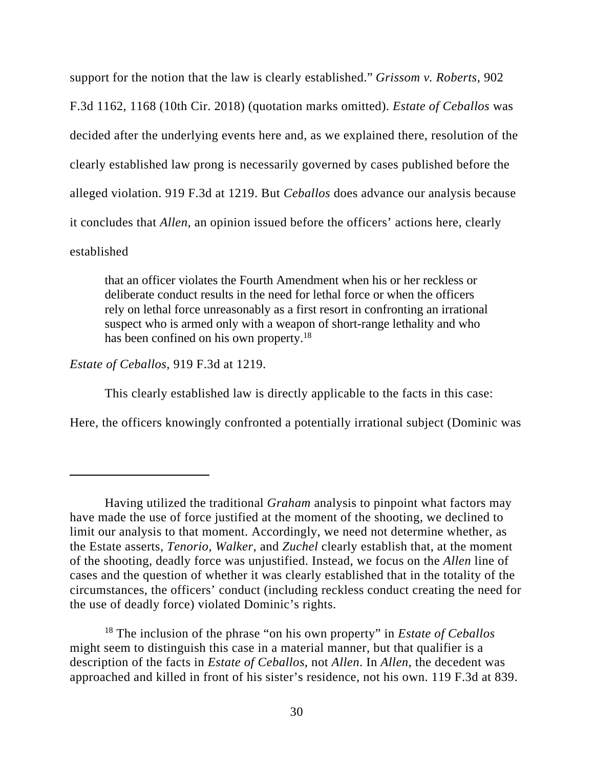support for the notion that the law is clearly established." *Grissom v. Roberts*, 902 F.3d 1162, 1168 (10th Cir. 2018) (quotation marks omitted). *Estate of Ceballos* was decided after the underlying events here and, as we explained there, resolution of the clearly established law prong is necessarily governed by cases published before the alleged violation. 919 F.3d at 1219. But *Ceballos* does advance our analysis because it concludes that *Allen,* an opinion issued before the officers' actions here, clearly established

that an officer violates the Fourth Amendment when his or her reckless or deliberate conduct results in the need for lethal force or when the officers rely on lethal force unreasonably as a first resort in confronting an irrational suspect who is armed only with a weapon of short-range lethality and who has been confined on his own property.<sup>18</sup>

*Estate of Ceballos*, 919 F.3d at 1219.

This clearly established law is directly applicable to the facts in this case:

Here, the officers knowingly confronted a potentially irrational subject (Dominic was

18 The inclusion of the phrase "on his own property" in *Estate of Ceballos* might seem to distinguish this case in a material manner, but that qualifier is a description of the facts in *Estate of Ceballos*, not *Allen*. In *Allen*, the decedent was approached and killed in front of his sister's residence, not his own. 119 F.3d at 839.

Having utilized the traditional *Graham* analysis to pinpoint what factors may have made the use of force justified at the moment of the shooting, we declined to limit our analysis to that moment. Accordingly, we need not determine whether, as the Estate asserts, *Tenorio*, *Walker*, and *Zuchel* clearly establish that, at the moment of the shooting, deadly force was unjustified. Instead, we focus on the *Allen* line of cases and the question of whether it was clearly established that in the totality of the circumstances, the officers' conduct (including reckless conduct creating the need for the use of deadly force) violated Dominic's rights.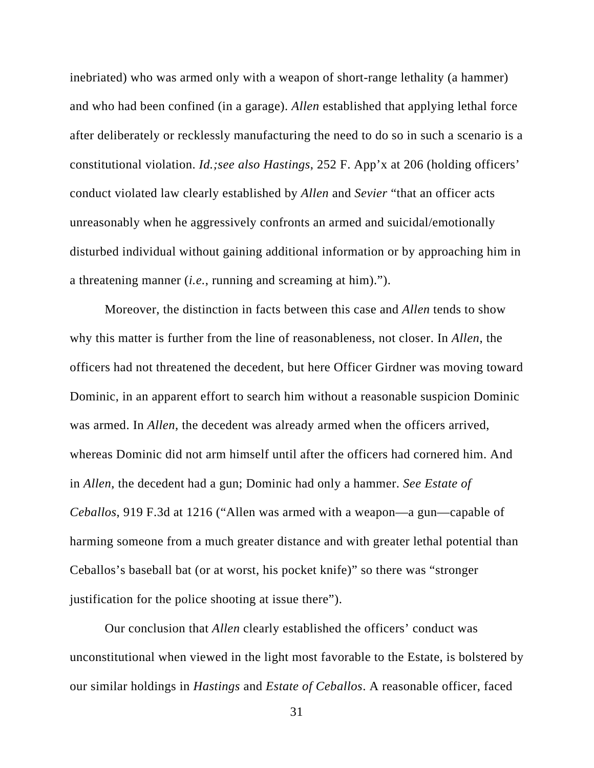inebriated) who was armed only with a weapon of short-range lethality (a hammer) and who had been confined (in a garage). *Allen* established that applying lethal force after deliberately or recklessly manufacturing the need to do so in such a scenario is a constitutional violation. *Id.;see also Hastings*, 252 F. App'x at 206 (holding officers' conduct violated law clearly established by *Allen* and *Sevier* "that an officer acts unreasonably when he aggressively confronts an armed and suicidal/emotionally disturbed individual without gaining additional information or by approaching him in a threatening manner (*i.e.*, running and screaming at him).").

Moreover, the distinction in facts between this case and *Allen* tends to show why this matter is further from the line of reasonableness, not closer. In *Allen*, the officers had not threatened the decedent, but here Officer Girdner was moving toward Dominic, in an apparent effort to search him without a reasonable suspicion Dominic was armed. In *Allen*, the decedent was already armed when the officers arrived, whereas Dominic did not arm himself until after the officers had cornered him. And in *Allen*, the decedent had a gun; Dominic had only a hammer. *See Estate of Ceballos*, 919 F.3d at 1216 ("Allen was armed with a weapon—a gun—capable of harming someone from a much greater distance and with greater lethal potential than Ceballos's baseball bat (or at worst, his pocket knife)" so there was "stronger justification for the police shooting at issue there").

 Our conclusion that *Allen* clearly established the officers' conduct was unconstitutional when viewed in the light most favorable to the Estate, is bolstered by our similar holdings in *Hastings* and *Estate of Ceballos*. A reasonable officer, faced